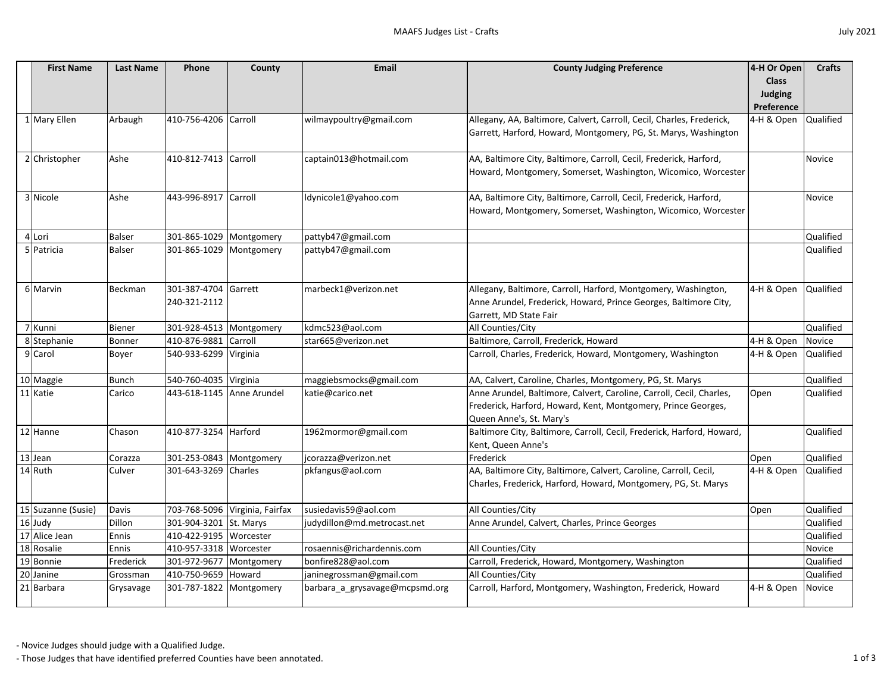| <b>First Name</b>  | <b>Last Name</b> | <b>Phone</b>              | County                         | <b>Email</b>                   | <b>County Judging Preference</b>                                       | 4-H Or Open    | <b>Crafts</b>    |
|--------------------|------------------|---------------------------|--------------------------------|--------------------------------|------------------------------------------------------------------------|----------------|------------------|
|                    |                  |                           |                                |                                |                                                                        | <b>Class</b>   |                  |
|                    |                  |                           |                                |                                |                                                                        | <b>Judging</b> |                  |
|                    |                  |                           |                                |                                |                                                                        | Preference     |                  |
| 1 Mary Ellen       | Arbaugh          | 410-756-4206 Carroll      |                                | wilmaypoultry@gmail.com        | Allegany, AA, Baltimore, Calvert, Carroll, Cecil, Charles, Frederick,  | 4-H & Open     | Qualified        |
|                    |                  |                           |                                |                                | Garrett, Harford, Howard, Montgomery, PG, St. Marys, Washington        |                |                  |
|                    |                  |                           |                                |                                |                                                                        |                |                  |
| 2 Christopher      | Ashe             | 410-812-7413 Carroll      |                                | captain013@hotmail.com         | AA, Baltimore City, Baltimore, Carroll, Cecil, Frederick, Harford,     |                | Novice           |
|                    |                  |                           |                                |                                | Howard, Montgomery, Somerset, Washington, Wicomico, Worcester          |                |                  |
|                    |                  |                           |                                |                                |                                                                        |                |                  |
| 3 Nicole           | Ashe             | 443-996-8917              | Carroll                        | ldynicole1@yahoo.com           | AA, Baltimore City, Baltimore, Carroll, Cecil, Frederick, Harford,     |                | Novice           |
|                    |                  |                           |                                |                                | Howard, Montgomery, Somerset, Washington, Wicomico, Worcester          |                |                  |
|                    |                  |                           |                                |                                |                                                                        |                |                  |
| 4 Lori             | <b>Balser</b>    | 301-865-1029 Montgomery   |                                | pattyb47@gmail.com             |                                                                        |                | Qualified        |
| 5 Patricia         | <b>Balser</b>    | 301-865-1029   Montgomery |                                | pattyb47@gmail.com             |                                                                        |                | Qualified        |
|                    |                  |                           |                                |                                |                                                                        |                |                  |
|                    |                  |                           |                                |                                |                                                                        |                |                  |
| 6 Marvin           | Beckman          | 301-387-4704              | Garrett                        | marbeck1@verizon.net           | Allegany, Baltimore, Carroll, Harford, Montgomery, Washington,         | 4-H & Open     | Qualified        |
|                    |                  | 240-321-2112              |                                |                                | Anne Arundel, Frederick, Howard, Prince Georges, Baltimore City,       |                |                  |
|                    |                  |                           |                                |                                | Garrett, MD State Fair                                                 |                |                  |
| 7 Kunni            | <b>Biener</b>    | 301-928-4513 Montgomery   |                                | kdmc523@aol.com                | All Counties/City                                                      |                | Qualified        |
| 8 Stephanie        | Bonner           | 410-876-9881              | Carroll                        | star665@verizon.net            | Baltimore, Carroll, Frederick, Howard                                  | 4-H & Open     | Novice           |
| 9 Carol            | Boyer            | 540-933-6299              | Virginia                       |                                | Carroll, Charles, Frederick, Howard, Montgomery, Washington            | 4-H & Open     | Qualified        |
|                    |                  |                           |                                |                                |                                                                        |                |                  |
| 10 Maggie          | <b>Bunch</b>     | 540-760-4035 Virginia     |                                | maggiebsmocks@gmail.com        | AA, Calvert, Caroline, Charles, Montgomery, PG, St. Marys              |                | Qualified        |
| 11 Katie           | Carico           | 443-618-1145 Anne Arundel |                                | katie@carico.net               | Anne Arundel, Baltimore, Calvert, Caroline, Carroll, Cecil, Charles,   | Open           | Qualified        |
|                    |                  |                           |                                |                                | Frederick, Harford, Howard, Kent, Montgomery, Prince Georges,          |                |                  |
|                    |                  |                           |                                |                                | Queen Anne's, St. Mary's                                               |                |                  |
| 12 Hanne           | Chason           | 410-877-3254              | Harford                        | 1962mormor@gmail.com           | Baltimore City, Baltimore, Carroll, Cecil, Frederick, Harford, Howard, |                | Qualified        |
|                    |                  |                           |                                |                                | Kent, Queen Anne's                                                     |                |                  |
| 13 Jean            | Corazza          | 301-253-0843 Montgomery   |                                | jcorazza@verizon.net           | Frederick                                                              | Open           | Qualified        |
| 14 Ruth            | Culver           | 301-643-3269 Charles      |                                | pkfangus@aol.com               | AA, Baltimore City, Baltimore, Calvert, Caroline, Carroll, Cecil,      | 4-H & Open     | <b>Qualified</b> |
|                    |                  |                           |                                |                                | Charles, Frederick, Harford, Howard, Montgomery, PG, St. Marys         |                |                  |
|                    |                  |                           |                                |                                |                                                                        |                |                  |
| 15 Suzanne (Susie) | Davis            |                           | 703-768-5096 Virginia, Fairfax | susiedavis59@aol.com           | All Counties/City                                                      | Open           | Qualified        |
| 16 Judy            | Dillon           | 301-904-3201              | St. Marys                      | judydillon@md.metrocast.net    | Anne Arundel, Calvert, Charles, Prince Georges                         |                | Qualified        |
| 17 Alice Jean      | Ennis            | 410-422-9195 Worcester    |                                |                                |                                                                        |                | Qualified        |
| 18 Rosalie         | Ennis            | 410-957-3318 Worcester    |                                | rosaennis@richardennis.com     | All Counties/City                                                      |                | Novice           |
| 19 Bonnie          | Frederick        | 301-972-9677 Montgomery   |                                | bonfire828@aol.com             | Carroll, Frederick, Howard, Montgomery, Washington                     |                | Qualified        |
| 20 Janine          | Grossman         | 410-750-9659 Howard       |                                | janinegrossman@gmail.com       | All Counties/City                                                      |                | Qualified        |
| 21 Barbara         | Grysavage        | 301-787-1822   Montgomery |                                | barbara_a_grysavage@mcpsmd.org | Carroll, Harford, Montgomery, Washington, Frederick, Howard            | 4-H & Open     | Novice           |
|                    |                  |                           |                                |                                |                                                                        |                |                  |

- Those Judges that have identified preferred Counties have been annotated. 1 of 3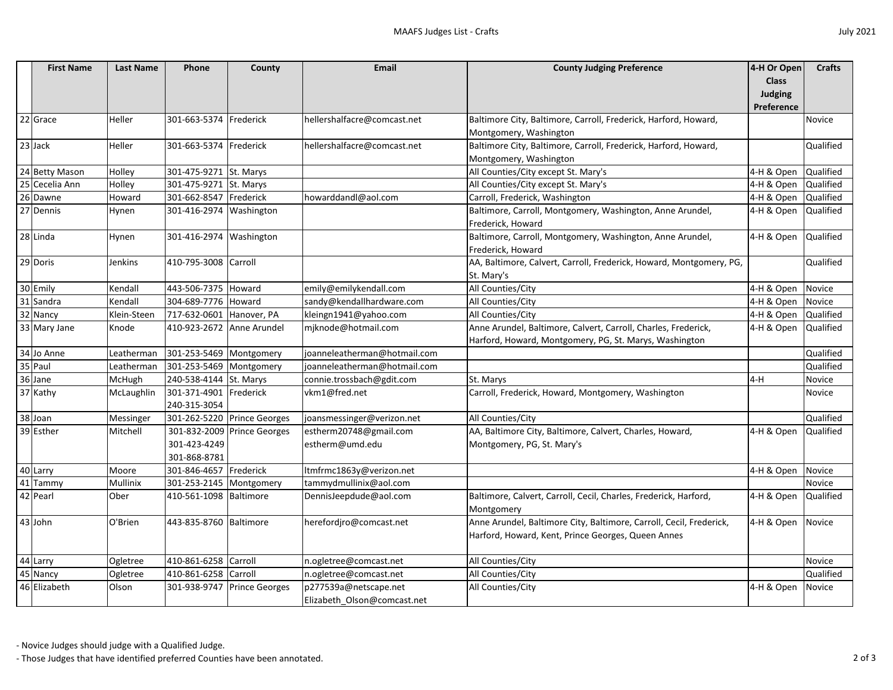| <b>July 2021</b> |
|------------------|
|------------------|

| <b>First Name</b> | <b>Last Name</b> | <b>Phone</b>              | County                      | <b>Email</b>                 | <b>County Judging Preference</b>                                    | 4-H Or Open       | <b>Crafts</b>    |
|-------------------|------------------|---------------------------|-----------------------------|------------------------------|---------------------------------------------------------------------|-------------------|------------------|
|                   |                  |                           |                             |                              |                                                                     | <b>Class</b>      |                  |
|                   |                  |                           |                             |                              |                                                                     | <b>Judging</b>    |                  |
|                   |                  |                           |                             |                              |                                                                     | Preference        |                  |
| 22 Grace          | Heller           | 301-663-5374 Frederick    |                             | hellershalfacre@comcast.net  | Baltimore City, Baltimore, Carroll, Frederick, Harford, Howard,     |                   | Novice           |
|                   |                  |                           |                             |                              | Montgomery, Washington                                              |                   |                  |
| 23 Jack           | Heller           | 301-663-5374 Frederick    |                             | hellershalfacre@comcast.net  | Baltimore City, Baltimore, Carroll, Frederick, Harford, Howard,     |                   | Qualified        |
|                   |                  |                           |                             |                              | Montgomery, Washington                                              |                   |                  |
| 24 Betty Mason    | Holley           | 301-475-9271 St. Marys    |                             |                              | All Counties/City except St. Mary's                                 | 4-H & Open        | <b>Qualified</b> |
| 25 Cecelia Ann    | Holley           | 301-475-9271              | St. Marys                   |                              | All Counties/City except St. Mary's                                 | 4-H & Open        | <b>Qualified</b> |
| 26 Dawne          | Howard           | 301-662-8547 Frederick    |                             | howarddandl@aol.com          | Carroll, Frederick, Washington                                      | 4-H & Open        | <b>Qualified</b> |
| 27 Dennis         | Hynen            | 301-416-2974 Washington   |                             |                              | Baltimore, Carroll, Montgomery, Washington, Anne Arundel,           | 4-H & Open        | Qualified        |
|                   |                  |                           |                             |                              | Frederick, Howard                                                   |                   |                  |
| 28 Linda          | Hynen            | 301-416-2974 Washington   |                             |                              | Baltimore, Carroll, Montgomery, Washington, Anne Arundel,           | 4-H & Open        | Qualified        |
|                   |                  |                           |                             |                              | Frederick, Howard                                                   |                   |                  |
| 29 Doris          | Jenkins          | 410-795-3008 Carroll      |                             |                              | AA, Baltimore, Calvert, Carroll, Frederick, Howard, Montgomery, PG, |                   | Qualified        |
|                   |                  |                           |                             |                              | St. Mary's                                                          |                   |                  |
| 30 Emily          | Kendall          | 443-506-7375 Howard       |                             | emily@emilykendall.com       | All Counties/City                                                   | 4-H & Open        | Novice           |
| 31 Sandra         | Kendall          | 304-689-7776 Howard       |                             | sandy@kendallhardware.com    | All Counties/City                                                   | 4-H & Open        | Novice           |
| 32 Nancy          | Klein-Steen      | 717-632-0601              | Hanover, PA                 | kleingn1941@yahoo.com        | All Counties/City                                                   | 4-H & Open        | <b>Qualified</b> |
| 33 Mary Jane      | Knode            | 410-923-2672 Anne Arundel |                             | mjknode@hotmail.com          | Anne Arundel, Baltimore, Calvert, Carroll, Charles, Frederick,      | 4-H & Open        | <b>Qualified</b> |
|                   |                  |                           |                             |                              | Harford, Howard, Montgomery, PG, St. Marys, Washington              |                   |                  |
| 34 Jo Anne        | Leatherman       | 301-253-5469 Montgomery   |                             | joanneleatherman@hotmail.com |                                                                     |                   | Qualified        |
| 35 Paul           | Leatherman       | 301-253-5469   Montgomery |                             | joanneleatherman@hotmail.com |                                                                     |                   | Qualified        |
| 36 Jane           | McHugh           | 240-538-4144 St. Marys    |                             | connie.trossbach@gdit.com    | St. Marys                                                           | $4-H$             | Novice           |
| 37 Kathy          | McLaughlin       | 301-371-4901 Frederick    |                             | vkm1@fred.net                | Carroll, Frederick, Howard, Montgomery, Washington                  |                   | Novice           |
|                   |                  | 240-315-3054              |                             |                              |                                                                     |                   |                  |
| 38 Joan           | Messinger        |                           | 301-262-5220 Prince Georges | joansmessinger@verizon.net   | All Counties/City                                                   |                   | Qualified        |
| 39 Esther         | Mitchell         |                           | 301-832-2009 Prince Georges | estherm20748@gmail.com       | AA, Baltimore City, Baltimore, Calvert, Charles, Howard,            | 4-H & Open        | <b>Qualified</b> |
|                   |                  | 301-423-4249              |                             | estherm@umd.edu              | Montgomery, PG, St. Mary's                                          |                   |                  |
|                   |                  | 301-868-8781              |                             |                              |                                                                     |                   |                  |
| 40 Larry          | Moore            | 301-846-4657 Frederick    |                             | Itmfrmc1863y@verizon.net     |                                                                     | 4-H & Open Novice |                  |
| 41 Tammy          | Mullinix         | 301-253-2145   Montgomery |                             | tammydmullinix@aol.com       |                                                                     |                   | Novice           |
| 42 Pearl          | Ober             | 410-561-1098 Baltimore    |                             | DennisJeepdude@aol.com       | Baltimore, Calvert, Carroll, Cecil, Charles, Frederick, Harford,    | 4-H & Open        | <b>Qualified</b> |
|                   |                  |                           |                             |                              | Montgomery                                                          |                   |                  |
| 43 John           | O'Brien          | 443-835-8760 Baltimore    |                             | herefordjro@comcast.net      | Anne Arundel, Baltimore City, Baltimore, Carroll, Cecil, Frederick, | 4-H & Open Novice |                  |
|                   |                  |                           |                             |                              | Harford, Howard, Kent, Prince Georges, Queen Annes                  |                   |                  |
| 44 Larry          | Ogletree         | 410-861-6258 Carroll      |                             | n.ogletree@comcast.net       | All Counties/City                                                   |                   | <b>Novice</b>    |
| 45 Nancy          | Ogletree         | 410-861-6258 Carroll      |                             | n.ogletree@comcast.net       | All Counties/City                                                   |                   | Qualified        |
| 46 Elizabeth      | Olson            | 301-938-9747              | <b>Prince Georges</b>       | p277539a@netscape.net        | All Counties/City                                                   | 4-H & Open        | Novice           |
|                   |                  |                           |                             | Elizabeth_Olson@comcast.net  |                                                                     |                   |                  |

- Those Judges that have identified preferred Counties have been annotated. 2 of 3